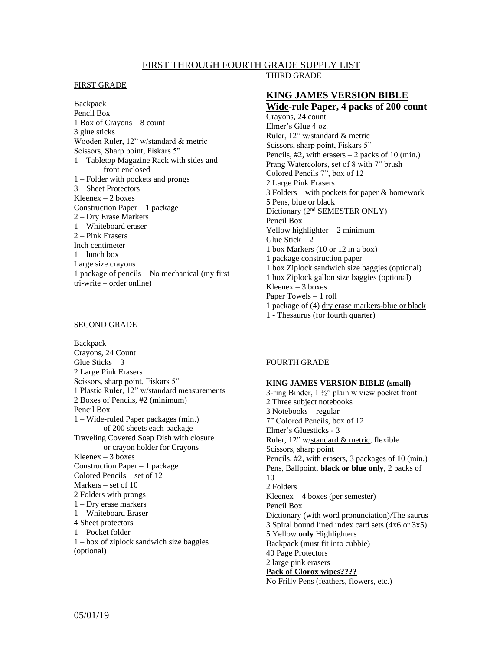## FIRST THROUGH FOURTH GRADE SUPPLY LIST THIRD GRADE

#### FIRST GRADE

Backpack Pencil Box 1 Box of Crayons – 8 count 3 glue sticks Wooden Ruler, 12" w/standard & metric Scissors, Sharp point, Fiskars 5" 1 – Tabletop Magazine Rack with sides and front enclosed 1 – Folder with pockets and prongs 3 – Sheet Protectors Kleenex  $-2$  boxes Construction Paper – 1 package 2 – Dry Erase Markers 1 – Whiteboard eraser 2 – Pink Erasers Inch centimeter  $1$  – lunch box Large size crayons 1 package of pencils – No mechanical (my first tri-write – order online)

### SECOND GRADE

Backpack Crayons, 24 Count Glue Sticks  $-3$ 2 Large Pink Erasers Scissors, sharp point, Fiskars 5" 1 Plastic Ruler, 12" w/standard measurements 2 Boxes of Pencils, #2 (minimum) Pencil Box 1 – Wide-ruled Paper packages (min.) of 200 sheets each package Traveling Covered Soap Dish with closure or crayon holder for Crayons Kleenex  $-3$  boxes Construction Paper – 1 package Colored Pencils – set of 12 Markers – set of 10 2 Folders with prongs 1 – Dry erase markers 1 – Whiteboard Eraser 4 Sheet protectors 1 – Pocket folder 1 – box of ziplock sandwich size baggies (optional)

# **KING JAMES VERSION BIBLE**

**Wide-rule Paper, 4 packs of 200 count** Crayons, 24 count Elmer's Glue 4 oz. Ruler, 12" w/standard & metric Scissors, sharp point, Fiskars 5" Pencils,  $#2$ , with erasers  $-2$  packs of 10 (min.) Prang Watercolors, set of 8 with 7" brush Colored Pencils 7", box of 12 2 Large Pink Erasers 3 Folders – with pockets for paper & homework 5 Pens, blue or black Dictionary (2nd SEMESTER ONLY) Pencil Box Yellow highlighter  $-2$  minimum Glue Stick  $-2$ 1 box Markers (10 or 12 in a box) 1 package construction paper 1 box Ziplock sandwich size baggies (optional) 1 box Ziplock gallon size baggies (optional) Kleenex  $-3$  boxes Paper Towels – 1 roll 1 package of (4) dry erase markers-blue or black 1 - Thesaurus (for fourth quarter)

## FOURTH GRADE

#### **KING JAMES VERSION BIBLE (small)**

3-ring Binder, 1 ½" plain w view pocket front 2 Three subject notebooks 3 Notebooks – regular 7" Colored Pencils, box of 12 Elmer's Gluesticks - 3 Ruler, 12" w/standard & metric, flexible Scissors, sharp point Pencils, #2, with erasers, 3 packages of 10 (min.) Pens, Ballpoint, **black or blue only**, 2 packs of 10 2 Folders Kleenex – 4 boxes (per semester) Pencil Box Dictionary (with word pronunciation)/The saurus 3 Spiral bound lined index card sets (4x6 or 3x5) 5 Yellow **only** Highlighters Backpack (must fit into cubbie) 40 Page Protectors 2 large pink erasers **Pack of Clorox wipes????** No Frilly Pens (feathers, flowers, etc.)